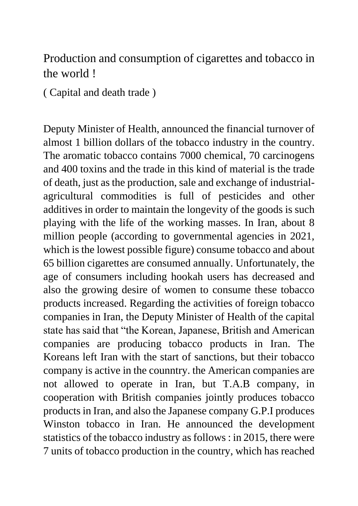## Production and consumption of cigarettes and tobacco in the world !

( Capital and death trade )

Deputy Minister of Health, announced the financial turnover of almost 1 billion dollars of the tobacco industry in the country. The aromatic tobacco contains 7000 chemical, 70 carcinogens and 400 toxins and the trade in this kind of material is the trade of death, just as the production, sale and exchange of industrialagricultural commodities is full of pesticides and other additives in order to maintain the longevity of the goods is such playing with the life of the working masses. In Iran, about 8 million people (according to governmental agencies in 2021, which is the lowest possible figure) consume tobacco and about 65 billion cigarettes are consumed annually. Unfortunately, the age of consumers including hookah users has decreased and also the growing desire of women to consume these tobacco products increased. Regarding the activities of foreign tobacco companies in Iran, the Deputy Minister of Health of the capital state has said that "the Korean, Japanese, British and American companies are producing tobacco products in Iran. The Koreans left Iran with the start of sanctions, but their tobacco company is active in the counntry. the American companies are not allowed to operate in Iran, but T.A.B company, in cooperation with British companies jointly produces tobacco products in Iran, and also the Japanese company G.P.I produces Winston tobacco in Iran. He announced the development statistics of the tobacco industry as follows : in 2015, there were 7 units of tobacco production in the country, which has reached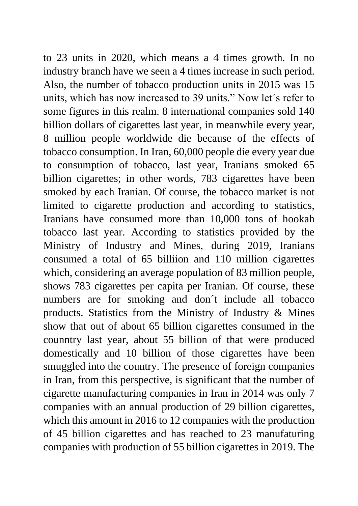to 23 units in 2020, which means a 4 times growth. In no industry branch have we seen a 4 times increase in such period. Also, the number of tobacco production units in 2015 was 15 units, which has now increased to 39 units." Now let´s refer to some figures in this realm. 8 international companies sold 140 billion dollars of cigarettes last year, in meanwhile every year, 8 million people worldwide die because of the effects of tobacco consumption. In Iran, 60,000 people die every year due to consumption of tobacco, last year, Iranians smoked 65 billion cigarettes; in other words, 783 cigarettes have been smoked by each Iranian. Of course, the tobacco market is not limited to cigarette production and according to statistics, Iranians have consumed more than 10,000 tons of hookah tobacco last year. According to statistics provided by the Ministry of Industry and Mines, during 2019, Iranians consumed a total of 65 billiion and 110 million cigarettes which, considering an average population of 83 million people, shows 783 cigarettes per capita per Iranian. Of course, these numbers are for smoking and don´t include all tobacco products. Statistics from the Ministry of Industry & Mines show that out of about 65 billion cigarettes consumed in the counntry last year, about 55 billion of that were produced domestically and 10 billion of those cigarettes have been smuggled into the country. The presence of foreign companies in Iran, from this perspective, is significant that the number of cigarette manufacturing companies in Iran in 2014 was only 7 companies with an annual production of 29 billion cigarettes, which this amount in 2016 to 12 companies with the production of 45 billion cigarettes and has reached to 23 manufaturing companies with production of 55 billion cigarettes in 2019. The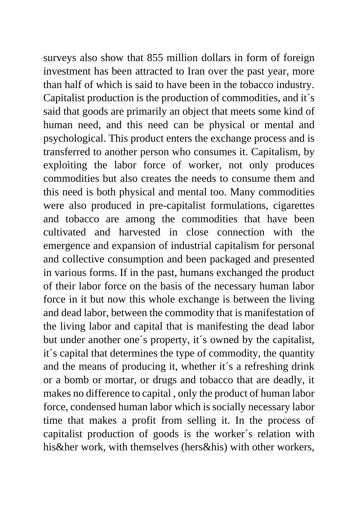surveys also show that 855 million dollars in form of foreign investment has been attracted to Iran over the past year, more than half of which is said to have been in the tobacco industry. Capitalist production is the production of commodities, and it´s said that goods are primarily an object that meets some kind of human need, and this need can be physical or mental and psychological. This product enters the exchange process and is transferred to another person who consumes it. Capitalism, by exploiting the labor force of worker, not only produces commodities but also creates the needs to consume them and this need is both physical and mental too. Many commodities were also produced in pre-capitalist formulations, cigarettes and tobacco are among the commodities that have been cultivated and harvested in close connection with the emergence and expansion of industrial capitalism for personal and collective consumption and been packaged and presented in various forms. If in the past, humans exchanged the product of their labor force on the basis of the necessary human labor force in it but now this whole exchange is between the living and dead labor, between the commodity that is manifestation of the living labor and capital that is manifesting the dead labor but under another one´s property, it´s owned by the capitalist, it´s capital that determines the type of commodity, the quantity and the means of producing it, whether it´s a refreshing drink or a bomb or mortar, or drugs and tobacco that are deadly, it makes no difference to capital , only the product of human labor force, condensed human labor which is socially necessary labor time that makes a profit from selling it. In the process of capitalist production of goods is the worker´s relation with his&her work, with themselves (hers&his) with other workers,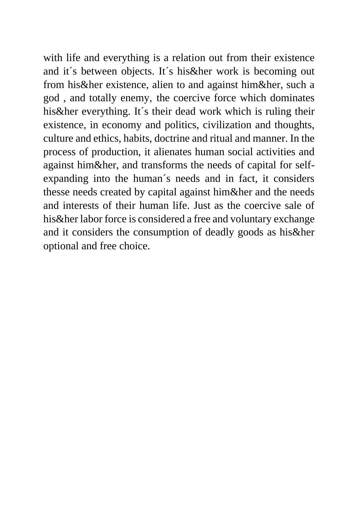with life and everything is a relation out from their existence and it´s between objects. It´s his&her work is becoming out from his&her existence, alien to and against him&her, such a god, and totally enemy, the coercive force which dominates his&her everything. It´s their dead work which is ruling their existence, in economy and politics, civilization and thoughts, culture and ethics, habits, doctrine and ritual and manner. In the process of production, it alienates human social activities and against him&her, and transforms the needs of capital for selfexpanding into the human´s needs and in fact, it considers thesse needs created by capital against him&her and the needs and interests of their human life. Just as the coercive sale of his&her labor force is considered a free and voluntary exchange and it considers the consumption of deadly goods as his&her optional and free choice.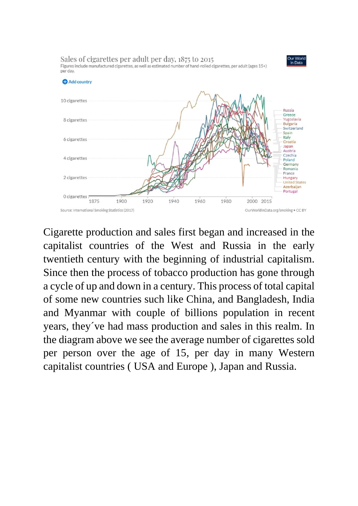

Cigarette production and sales first began and increased in the capitalist countries of the West and Russia in the early twentieth century with the beginning of industrial capitalism. Since then the process of tobacco production has gone through a cycle of up and down in a century. This process of total capital of some new countries such like China, and Bangladesh, India and Myanmar with couple of billions population in recent years, they´ve had mass production and sales in this realm. In the diagram above we see the average number of cigarettes sold per person over the age of 15, per day in many Western capitalist countries ( USA and Europe ), Japan and Russia.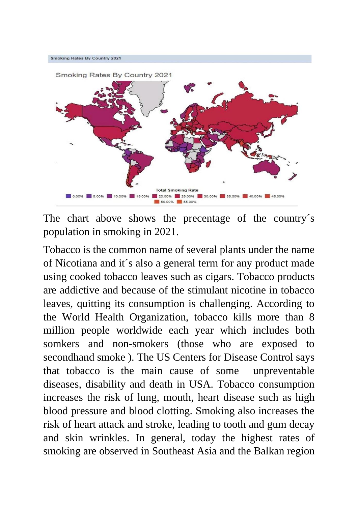

The chart above shows the precentage of the country´s population in smoking in 2021.

Tobacco is the common name of several plants under the name of Nicotiana and it´s also a general term for any product made using cooked tobacco leaves such as cigars. Tobacco products are addictive and because of the stimulant nicotine in tobacco leaves, quitting its consumption is challenging. According to the World Health Organization, tobacco kills more than 8 million people worldwide each year which includes both somkers and non-smokers (those who are exposed to secondhand smoke ). The US Centers for Disease Control says that tobacco is the main cause of some unpreventable diseases, disability and death in USA. Tobacco consumption increases the risk of lung, mouth, heart disease such as high blood pressure and blood clotting. Smoking also increases the risk of heart attack and stroke, leading to tooth and gum decay and skin wrinkles. In general, today the highest rates of smoking are observed in Southeast Asia and the Balkan region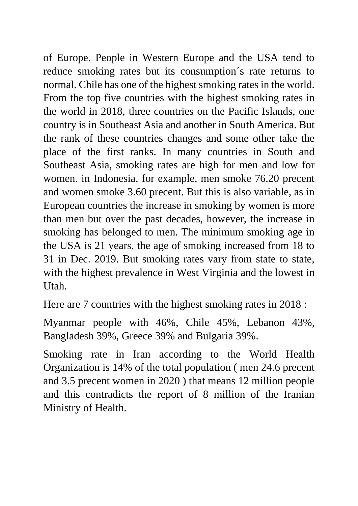of Europe. People in Western Europe and the USA tend to reduce smoking rates but its consumption´s rate returns to normal. Chile has one of the highest smoking rates in the world. From the top five countries with the highest smoking rates in the world in 2018, three countries on the Pacific Islands, one country is in Southeast Asia and another in South America. But the rank of these countries changes and some other take the place of the first ranks. In many countries in South and Southeast Asia, smoking rates are high for men and low for women. in Indonesia, for example, men smoke 76.20 precent and women smoke 3.60 precent. But this is also variable, as in European countries the increase in smoking by women is more than men but over the past decades, however, the increase in smoking has belonged to men. The minimum smoking age in the USA is 21 years, the age of smoking increased from 18 to 31 in Dec. 2019. But smoking rates vary from state to state, with the highest prevalence in West Virginia and the lowest in Utah.

Here are 7 countries with the highest smoking rates in 2018 :

Myanmar people with 46%, Chile 45%, Lebanon 43%, Bangladesh 39%, Greece 39% and Bulgaria 39%.

Smoking rate in Iran according to the World Health Organization is 14% of the total population ( men 24.6 precent and 3.5 precent women in 2020 ) that means 12 million people and this contradicts the report of 8 million of the Iranian Ministry of Health.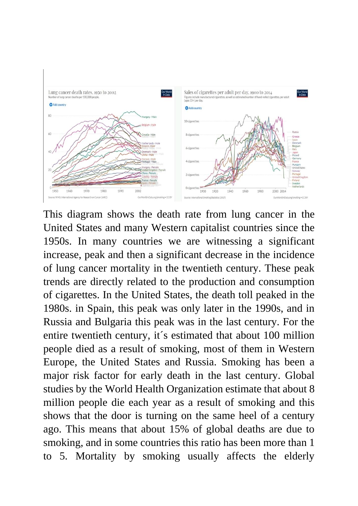

This diagram shows the death rate from lung cancer in the United States and many Western capitalist countries since the 1950s. In many countries we are witnessing a significant increase, peak and then a significant decrease in the incidence of lung cancer mortality in the twentieth century. These peak trends are directly related to the production and consumption of cigarettes. In the United States, the death toll peaked in the 1980s. in Spain, this peak was only later in the 1990s, and in Russia and Bulgaria this peak was in the last century. For the entire twentieth century, it´s estimated that about 100 million people died as a result of smoking, most of them in Western Europe, the United States and Russia. Smoking has been a major risk factor for early death in the last century. Global studies by the World Health Organization estimate that about 8 million people die each year as a result of smoking and this shows that the door is turning on the same heel of a century ago. This means that about 15% of global deaths are due to smoking, and in some countries this ratio has been more than 1 to 5. Mortality by smoking usually affects the elderly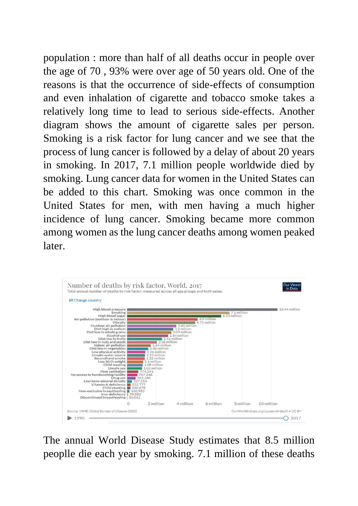population : more than half of all deaths occur in people over the age of 70 , 93% were over age of 50 years old. One of the reasons is that the occurrence of side-effects of consumption and even inhalation of cigarette and tobacco smoke takes a relatively long time to lead to serious side-effects. Another diagram shows the amount of cigarette sales per person. Smoking is a risk factor for lung cancer and we see that the process of lung cancer is followed by a delay of about 20 years in smoking. In 2017, 7.1 million people worldwide died by smoking. Lung cancer data for women in the United States can be added to this chart. Smoking was once common in the United States for men, with men having a much higher incidence of lung cancer. Smoking became more common among women as the lung cancer deaths among women peaked later.



The annual World Disease Study estimates that 8.5 million peoplle die each year by smoking. 7.1 million of these deaths